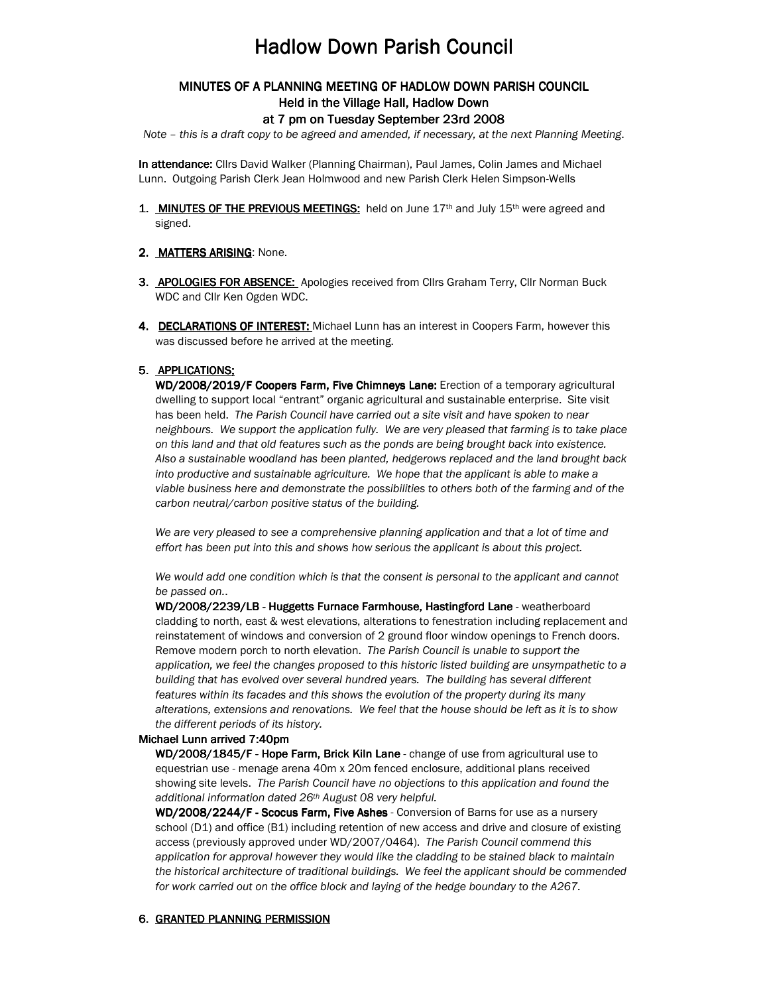# **Hadlow Down Parish Council**

## MINUTES OF A PLANNING MEETING OF HADLOW DOWN PARISH COUNCIL Held in the Village Hall, Hadlow Down

#### at 7 pm on Tuesday September 23rd 2008

Note – this is a draft copy to be agreed and amended, if necessary, at the next Planning Meeting.

In attendance: Cllrs David Walker (Planning Chairman), Paul James, Colin James and Michael Lunn. Outgoing Parish Clerk Jean Holmwood and new Parish Clerk Helen Simpson-Wells

- 1. **MINUTES OF THE PREVIOUS MEETINGS:** held on June  $17<sup>th</sup>$  and July  $15<sup>th</sup>$  were agreed and signed.
- 2. MATTERS ARISING: None.
- 3. APOLOGIES FOR ABSENCE: Apologies received from Cllrs Graham Terry, Cllr Norman Buck WDC and Cllr Ken Ogden WDC.
- 4. DECLARATIONS OF INTEREST: Michael Lunn has an interest in Coopers Farm, however this was discussed before he arrived at the meeting.

#### 5. APPLICATIONS:

WD/2008/2019/F Coopers Farm, Five Chimneys Lane: Erection of a temporary agricultural dwelling to support local "entrant" organic agricultural and sustainable enterprise. Site visit has been held. The Parish Council have carried out a site visit and have spoken to near neighbours. We support the application fully. We are very pleased that farming is to take place on this land and that old features such as the ponds are being brought back into existence. Also a sustainable woodland has been planted, hedgerows replaced and the land brought back into productive and sustainable agriculture. We hope that the applicant is able to make a viable business here and demonstrate the possibilities to others both of the farming and of the carbon neutral/carbon positive status of the building.

We are very pleased to see a comprehensive planning application and that a lot of time and effort has been put into this and shows how serious the applicant is about this project.

We would add one condition which is that the consent is personal to the applicant and cannot be passed on..

WD/2008/2239/LB - Huggetts Furnace Farmhouse, Hastingford Lane - weatherboard cladding to north, east & west elevations, alterations to fenestration including replacement and reinstatement of windows and conversion of 2 ground floor window openings to French doors. Remove modern porch to north elevation. The Parish Council is unable to support the application, we feel the changes proposed to this historic listed building are unsympathetic to a building that has evolved over several hundred years. The building has several different features within its facades and this shows the evolution of the property during its many alterations, extensions and renovations. We feel that the house should be left as it is to show the different periods of its history.

#### Michael Lunn arrived 7:40pm

WD/2008/1845/F - Hope Farm, Brick Kiln Lane - change of use from agricultural use to equestrian use - menage arena 40m x 20m fenced enclosure, additional plans received showing site levels. The Parish Council have no objections to this application and found the additional information dated 26th August 08 very helpful.

WD/2008/2244/F - Scocus Farm, Five Ashes - Conversion of Barns for use as a nursery school (D1) and office (B1) including retention of new access and drive and closure of existing access (previously approved under WD/2007/0464). The Parish Council commend this application for approval however they would like the cladding to be stained black to maintain the historical architecture of traditional buildings. We feel the applicant should be commended for work carried out on the office block and laying of the hedge boundary to the A267.

### 6. GRANTED PLANNING PERMISSION